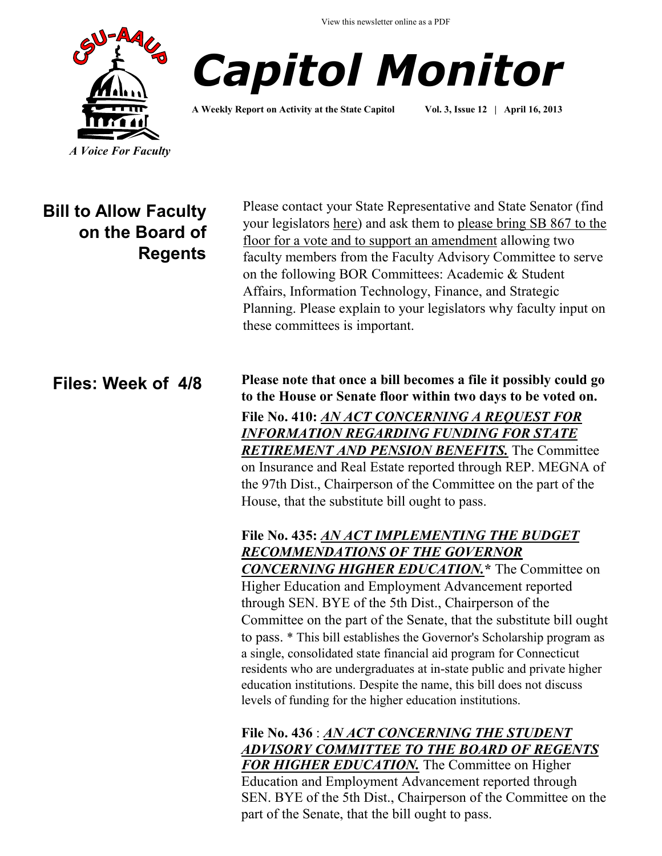View this newsletter online as a PDF





**A Weekly Report on Activity at the State Capitol Vol. 3, Issue 12 | April 16, 2013**

# **Bill to Allow Faculty on the Board of Regents**

Please contact your State Representative and State Senator (find your legislators [here\)](http://www.cga.ct.gov/asp/menu/CGAFindLeg.asp) and ask them to please bring SB 867 to the floor for a vote and to support an amendment allowing two faculty members from the Faculty Advisory Committee to serve on the following BOR Committees: Academic & Student Affairs, Information Technology, Finance, and Strategic Planning. Please explain to your legislators why faculty input on these committees is important.

## **Files: Week of 4/8**

**Please note that once a bill becomes a file it possibly could go to the House or Senate floor within two days to be voted on. File No. 410:** *[AN ACT CONCERNING A REQUEST FOR](http://www.cga.ct.gov/asp/cgabillstatus/cgabillstatus.asp?selBillType=File+Copy&bill_num=410&which_year=2013&SUBMIT1.x=11&SUBMIT1.y=8&SUBMIT1=Normal)  [INFORMATION REGARDING FUNDING FOR STATE](http://www.cga.ct.gov/asp/cgabillstatus/cgabillstatus.asp?selBillType=File+Copy&bill_num=410&which_year=2013&SUBMIT1.x=11&SUBMIT1.y=8&SUBMIT1=Normal)  [RETIREMENT AND PENSION BENEFITS.](http://www.cga.ct.gov/asp/cgabillstatus/cgabillstatus.asp?selBillType=File+Copy&bill_num=410&which_year=2013&SUBMIT1.x=11&SUBMIT1.y=8&SUBMIT1=Normal)* The Committee on Insurance and Real Estate reported through REP. MEGNA of the 97th Dist., Chairperson of the Committee on the part of the House, that the substitute bill ought to pass.

### **File No. 435:** *[AN ACT IMPLEMENTING THE BUDGET](http://www.cga.ct.gov/asp/cgabillstatus/cgabillstatus.asp?selBillType=Bill&bill_num=844&which_year=2013&SUBMIT1.x=-643&SUBMIT1.y=0&SUBMIT1=Normal)  [RECOMMENDATIONS OF THE GOVERNOR](http://www.cga.ct.gov/asp/cgabillstatus/cgabillstatus.asp?selBillType=Bill&bill_num=844&which_year=2013&SUBMIT1.x=-643&SUBMIT1.y=0&SUBMIT1=Normal)  [CONCERNING HIGHER EDUCATION.](http://www.cga.ct.gov/asp/cgabillstatus/cgabillstatus.asp?selBillType=Bill&bill_num=844&which_year=2013&SUBMIT1.x=-643&SUBMIT1.y=0&SUBMIT1=Normal)***\*** The Committee on

Higher Education and Employment Advancement reported through SEN. BYE of the 5th Dist., Chairperson of the Committee on the part of the Senate, that the substitute bill ought to pass. \* This bill establishes the Governor's Scholarship program as a single, consolidated state financial aid program for Connecticut residents who are undergraduates at in-state public and private higher education institutions. Despite the name, this bill does not discuss levels of funding for the higher education institutions.

**File No. 436** : *[AN ACT CONCERNING THE STUDENT](http://www.cga.ct.gov/asp/cgabillstatus/cgabillstatus.asp?selBillType=File+Copy&bill_num=436&which_year=2013&SUBMIT1.x=-680&SUBMIT1.y=0&SUBMIT1=Normal)  [ADVISORY COMMITTEE TO THE BOARD OF REGENTS](http://www.cga.ct.gov/asp/cgabillstatus/cgabillstatus.asp?selBillType=File+Copy&bill_num=436&which_year=2013&SUBMIT1.x=-680&SUBMIT1.y=0&SUBMIT1=Normal)  [FOR HIGHER EDUCATION.](http://www.cga.ct.gov/asp/cgabillstatus/cgabillstatus.asp?selBillType=File+Copy&bill_num=436&which_year=2013&SUBMIT1.x=-680&SUBMIT1.y=0&SUBMIT1=Normal)* The Committee on Higher Education and Employment Advancement reported through SEN. BYE of the 5th Dist., Chairperson of the Committee on the part of the Senate, that the bill ought to pass.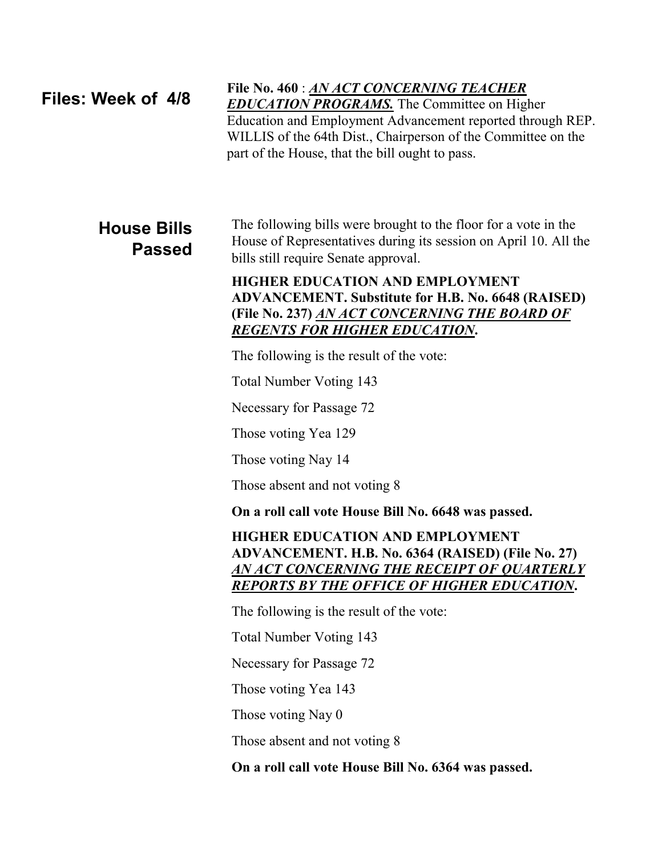### **Files: Week of 4/8**

### **File No. 460** : *[AN ACT CONCERNING TEACHER](http://www.cga.ct.gov/asp/cgabillstatus/cgabillstatus.asp?selBillType=File+Copy&bill_num=460&which_year=2013&SUBMIT1.x=-643&SUBMIT1.y=0&SUBMIT1=Normal)*

*[EDUCATION PROGRAMS.](http://www.cga.ct.gov/asp/cgabillstatus/cgabillstatus.asp?selBillType=File+Copy&bill_num=460&which_year=2013&SUBMIT1.x=-643&SUBMIT1.y=0&SUBMIT1=Normal)* The Committee on Higher Education and Employment Advancement reported through REP. WILLIS of the 64th Dist., Chairperson of the Committee on the part of the House, that the bill ought to pass.

## **House Bills Passed**

The following bills were brought to the floor for a vote in the House of Representatives during its session on April 10. All the bills still require Senate approval.

#### **HIGHER EDUCATION AND EMPLOYMENT ADVANCEMENT. Substitute for H.B. No. 6648 (RAISED) (File No. 237)** *[AN ACT CONCERNING THE BOARD OF](http://www.cga.ct.gov/asp/cgabillstatus/cgabillstatus.asp?selBillType=File+Copy&bill_num=237&which_year=2013&SUBMIT1.x=-643&SUBMIT1.y=0&SUBMIT1=Normal)  [REGENTS FOR HIGHER EDUCATION](http://www.cga.ct.gov/asp/cgabillstatus/cgabillstatus.asp?selBillType=File+Copy&bill_num=237&which_year=2013&SUBMIT1.x=-643&SUBMIT1.y=0&SUBMIT1=Normal)***.**

The following is the result of the vote:

Total Number Voting 143

Necessary for Passage 72

Those voting Yea 129

Those voting Nay 14

Those absent and not voting 8

**On a roll call vote House Bill No. 6648 was passed.**

#### **HIGHER EDUCATION AND EMPLOYMENT ADVANCEMENT. H.B. No. 6364 (RAISED) (File No. 27)**  *[AN ACT CONCERNING THE RECEIPT OF QUARTERLY](http://www.cga.ct.gov/asp/cgabillstatus/cgabillstatus.asp?selBillType=File+Copy&bill_num=27&which_year=2013&SUBMIT1.x=-643&SUBMIT1.y=0&SUBMIT1=Normal)  [REPORTS BY THE OFFICE OF HIGHER EDUCATION](http://www.cga.ct.gov/asp/cgabillstatus/cgabillstatus.asp?selBillType=File+Copy&bill_num=27&which_year=2013&SUBMIT1.x=-643&SUBMIT1.y=0&SUBMIT1=Normal)***.**

The following is the result of the vote:

Total Number Voting 143

Necessary for Passage 72

Those voting Yea 143

Those voting Nay 0

Those absent and not voting 8

**On a roll call vote House Bill No. 6364 was passed.**